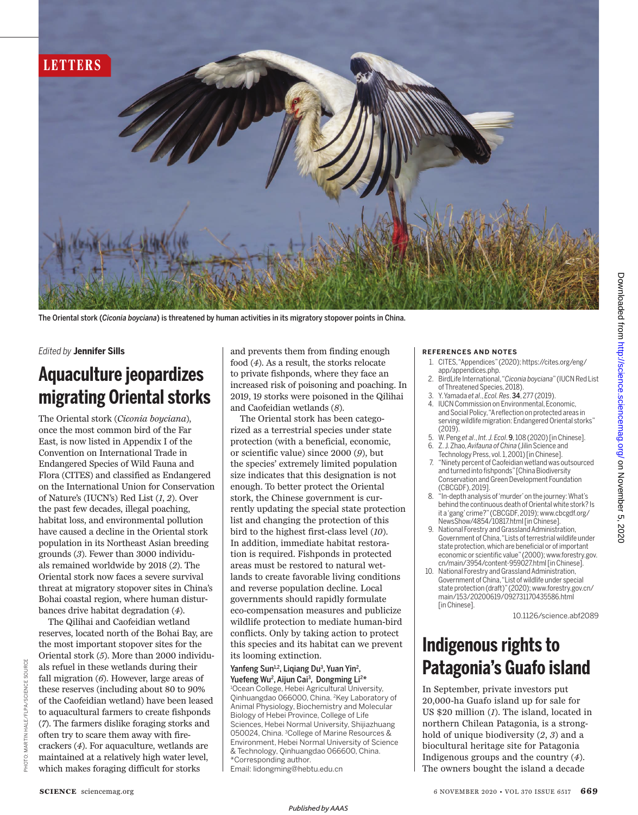

The Oriental stork (*Ciconia boyciana*) is threatened by human activities in its migratory stopover points in China.

#### *Edited by* **Jennifer Sills**

## **Aquaculture jeopardizes migrating Oriental storks**

The Oriental stork (*Ciconia boyciana*), once the most common bird of the Far East, is now listed in Appendix I of the Convention on International Trade in Endangered Species of Wild Fauna and Flora (CITES) and classified as Endangered on the International Union for Conservation of Nature's (IUCN's) Red List (*1*, *2*). Over the past few decades, illegal poaching, habitat loss, and environmental pollution have caused a decline in the Oriental stork population in its Northeast Asian breeding grounds (*3*). Fewer than 3000 individuals remained worldwide by 2018 (*2*). The Oriental stork now faces a severe survival threat at migratory stopover sites in China's Bohai coastal region, where human disturbances drive habitat degradation (*4*).

The Qilihai and Caofeidian wetland reserves, located north of the Bohai Bay, are the most important stopover sites for the Oriental stork (*5*). More than 2000 individuals refuel in these wetlands during their fall migration (*6*). However, large areas of these reserves (including about 80 to 90% of the Caofeidian wetland) have been leased to aquacultural farmers to create fishponds (*7*). The farmers dislike foraging storks and often try to scare them away with firecrackers (*4*). For aquaculture, wetlands are maintained at a relatively high water level, which makes foraging difficult for storks

and prevents them from finding enough food (*4*). As a result, the storks relocate to private fishponds, where they face an increased risk of poisoning and poaching. In 2019, 19 storks were poisoned in the Qilihai and Caofeidian wetlands (*8*).

 The Oriental stork has been categorized as a terrestrial species under state protection (with a beneficial, economic, or scientific value) since 2000 (*9*), but the species' extremely limited population size indicates that this designation is not enough. To better protect the Oriental stork, the Chinese government is currently updating the special state protection list and changing the protection of this bird to the highest first-class level (*10*). In addition, immediate habitat restoration is required. Fishponds in protected areas must be restored to natural wetlands to create favorable living conditions and reverse population decline. Local governments should rapidly formulate eco-compensation measures and publicize wildlife protection to mediate human-bird conflicts. Only by taking action to protect this species and its habitat can we prevent its looming extinction.

#### Yanfeng Sun<sup>1,2</sup>, Liqiang Du<sup>3</sup>, Yuan Yin<sup>2</sup>, Yuefeng Wu<sup>2</sup>, Aijun Cai<sup>3</sup>, Dongming Li<sup>2\*</sup> <sup>1</sup>Ocean College, Hebei Agricultural University, Qinhuangdao 066000, China. <sup>2</sup>Key Laboratory of Animal Physiology, Biochemistry and Molecular Biology of Hebei Province, College of Life Sciences, Hebei Normal University, Shijiazhuang 050024, China. <sup>3</sup>College of Marine Resources & Environment, Hebei Normal University of Science & Technology, Qinhuangdao 066600, China. \*Corresponding author. Email: lidongming@hebtu.edu.cn

#### **REFERENCES AND NOTES**

- 1. CITES, "Appendices" (2020); https://cites.org/eng/ app/appendices.php.
- 2. BirdLife International, "*Ciconia boyciana*" (IUCN Red List of Threatened Species, 2018).
- 3. Y. Yamada *et al*., *Ecol. Res*. 34, 277 (2019).
- 4. IUCN Commission on Environmental, Economic, and Social Policy, "A reflection on protected areas in serving wildlife migration: Endangered Oriental storks"  $(2019)$
- 5. W. Peng *et al*., *Int. J. Ecol*. 9, 108 (2020) [in Chinese]. 6. Z. J. Zhao, *Avifauna of China* (Jilin Science and
- Technology Press, vol. 1, 2001) [in Chinese].
- 7. " Ninety percent of Caofeidian wetland was outsourced and turned into fishponds" [China Biodiversity Conservation and Green Development Foundation (CBCGDF), 2019].
- 8. "In-depth analysis of 'murder' on the journey: What's behind the continuous death of Oriental white stork? Is it a 'gang' crime?" (CBCGDF, 2019); www.cbcgdf.org/ NewsShow/4854/10817.html [in Chinese].
- 9. National Forestry and Grassland Administration, Government of China, "Lists of terrestrial wildlife under state protection, which are beneficial or of important economic or scientific value" (2000); www.forestry.gov. cn/main/3954/content-959027.html [in Chinese].
- 10. National Forestry and Grassland Administration, Government of China, "List of wildlife under special state protection (draft)" (2020); www.forestry.gov.cn/ main/153/20200619/092731170435586.html [in Chinese].

10.1126/science.abf2089

## **Indigenous rights to Patagonia's Guafo island**

In September, private investors put 20,000-ha Guafo island up for sale for US \$20 million (*1*). The island, located in northern Chilean Patagonia, is a stronghold of unique biodiversity (*2*, *3*) and a biocultural heritage site for Patagonia Indigenous groups and the country (*4*). The owners bought the island a decade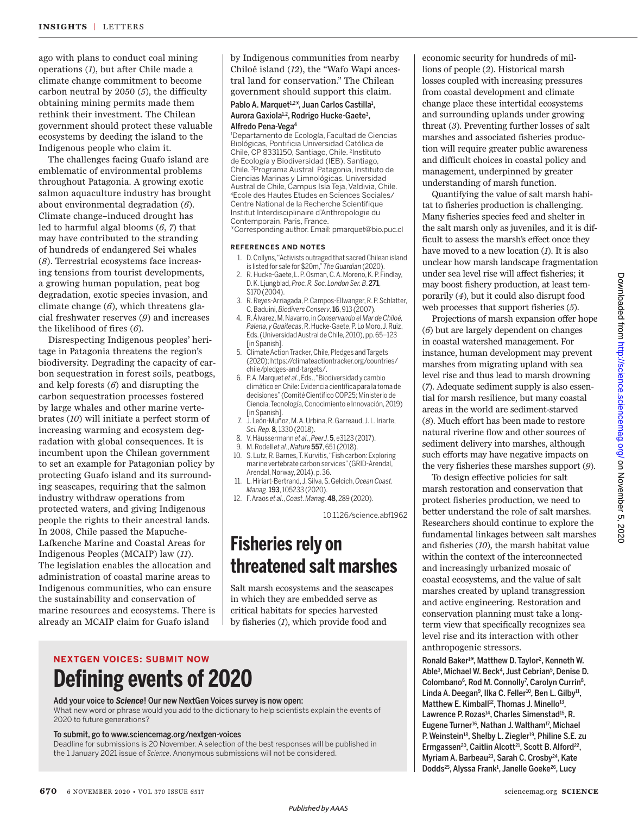ago with plans to conduct coal mining operations (*1*), but after Chile made a climate change commitment to become carbon neutral by 2050 (*5*), the difficulty obtaining mining permits made them rethink their investment. The Chilean government should protect these valuable ecosystems by deeding the island to the Indigenous people who claim it.

The challenges facing Guafo island are emblematic of environmental problems throughout Patagonia. A growing exotic salmon aquaculture industry has brought about environmental degradation (*6*). Climate change–induced drought has led to harmful algal blooms (*6*, *7*) that may have contributed to the stranding of hundreds of endangered Sei whales (*8*). Terrestrial ecosystems face increasing tensions from tourist developments, a growing human population, peat bog degradation, exotic species invasion, and climate change (*6*), which threatens glacial freshwater reserves (*9*) and increases the likelihood of fires (*6*).

Disrespecting Indigenous peoples' heritage in Patagonia threatens the region's biodiversity. Degrading the capacity of carbon sequestration in forest soils, peatbogs, and kelp forests (*6*) and disrupting the carbon sequestration processes fostered by large whales and other marine vertebrates (*10*) will initiate a perfect storm of increasing warming and ecosystem degradation with global consequences. It is incumbent upon the Chilean government to set an example for Patagonian policy by protecting Guafo island and its surrounding seascapes, requiring that the salmon industry withdraw operations from protected waters, and giving Indigenous people the rights to their ancestral lands. In 2008, Chile passed the Mapuche-Lafkenche Marine and Coastal Areas for Indigenous Peoples (MCAIP) law (*11*). The legislation enables the allocation and administration of coastal marine areas to Indigenous communities, who can ensure the sustainability and conservation of marine resources and ecosystems. There is already an MCAIP claim for Guafo island

by Indigenous communities from nearby Chiloé island (*12*), the "Wafo Wapi ancestral land for conservation." The Chilean government should support this claim.

#### Pablo A. Marquet<sup>1,2\*</sup>, Juan Carlos Castilla<sup>1</sup>, Aurora Gaxiola<sup>1,2</sup>, Rodrigo Hucke-Gaete<sup>3</sup>, Alfredo Pena-Vega 4

<sup>1</sup>Departamento de Ecología, Facultad de Ciencias Biológicas, Pontificia Universidad Católica de Chile, CP 8331150, Santiago, Chile. <sup>2</sup>Instituto de Ecología y Biodiversidad (IEB), Santiago, Chile. <sup>3</sup>Programa Austral Patagonia, Instituto de Ciencias Marinas y Limnológicas, Universidad Austral de Chile, Campus Isla Teja, Valdivia, Chile. <sup>4</sup>Ecole des Hautes Etudes en Sciences Sociales/ Centre National de la Recherche Scientifique Institut Interdisciplinaire d'Anthropologie du Contemporain, Paris, France.

\*Corresponding author. Email: pmarquet@bio.puc.cl

#### **REFERENCES AND NOTES**

- 1. D. Collyns,"Activists outraged that sacred Chilean island is listed for sale for \$20m,"*The Guardian* (2020).
- 2. R. Hucke-Gaete, L. P. Osman, C.A. Moreno, K. P. Findlay, D. K. Ljungblad,*Proc. R. Soc. London Ser. B*. 271, S170 (2004).
- 3. R. Reyes-Arriagada, P.Campos-Ellwanger, R. P. Schlatter, C. Baduini,*Biodivers Conserv*. 16, 913 (2007).
- 4. R.Álvarez, M. Navarro, in *Conservando el Mar de Chiloé, Palena, yGuaitecas*, R. Hucke-Gaete, P. Lo Moro,J. Ruiz, Eds. (Universidad Austral de Chile, 2010), pp. 65-123 [in Spanish].
- 5. Climate Action Tracker, Chile, Pledges and Targets (2020); https://climateactiontracker.org/countries/ chile/pledges-and-targets/.
- 6. P. A. Marquet *et al*., Eds.,"Biodiversidad y cambio climático en Chile: Evidencia científica para la toma de decisiones" (Comité Científico COP25; Ministerio de Ciencia,Tecnología, Conocimiento e Innovación, 2019) [in Spanish].
- 7. J. León-Muñoz, M.A. Urbina, R. Garreaud,J. L. Iriarte, *Sci. Rep.* 8, 1330 (2018).
- 8. V. Häussermann *et al*., *PeerJ*. 5, e3123 (2017).
- 9. M. Rodell *et al*., *Nature* 557, 651 (2018).
- 10. S. Lutz, R. Barnes, T. Kurvitis, "Fish carbon: Exploring marine vertebrate carbon services" (GRID-Arendal, Arendal, Norway, 2014), p. 36.
- 11. L. Hiriart-Bertrand,J. Silva, S. Gelcich,*Ocean Coast. Manag*. 193, 105233 (2020).
- 12. F. Araos *et al*., *Coast. Manag*. 48, 289 (2020).

10.1126/science.abf1962

## **Fisheries rely on threatened salt marshes**

Salt marsh ecosystems and the seascapes in which they are embedded serve as critical habitats for species harvested by fisheries (*1*), which provide food and

## **NEXTGEN VOICES: SUBMIT NOW Defining events of 2020**

#### Add your voice to *Science*! Our new NextGen Voices survey is now open: What new word or phrase would you add to the dictionary to help scientists explain the events of 2020 to future generations?

#### To submit, go to www.sciencemag.org/nextgen-voices

Deadline for submissions is 20 November. A selection of the best responses will be published in the 1 January 2021 issue of *Science*.Anonymous submissions will not be considered.

economic security for hundreds of millions of people (*2*). Historical marsh losses coupled with increasing pressures from coastal development and climate change place these intertidal ecosystems and surrounding uplands under growing threat (*3*). Preventing further losses of salt marshes and associated fisheries production will require greater public awareness and difficult choices in coastal policy and management, underpinned by greater understanding of marsh function.

Quantifying the value of salt marsh habitat to fisheries production is challenging. Many fisheries species feed and shelter in the salt marsh only as juveniles, and it is difficult to assess the marsh's effect once they have moved to a new location (*1*). It is also unclear how marsh landscape fragmentation under sea level rise will affect fisheries; it may boost fishery production, at least temporarily (*4*), but it could also disrupt food web processes that support fisheries (*5*).

Projections of marsh expansion offer hope (*6*) but are largely dependent on changes in coastal watershed management. For instance, human development may prevent marshes from migrating upland with sea level rise and thus lead to marsh drowning (*7*). Adequate sediment supply is also essential for marsh resilience, but many coastal areas in the world are sediment-starved (*8*). Much effort has been made to restore natural riverine flow and other sources of sediment delivery into marshes, although such efforts may have negative impacts on the very fisheries these marshes support (*9*).

To design effective policies for salt marsh restoration and conservation that protect fisheries production, we need to better understand the role of salt marshes. Researchers should continue to explore the fundamental linkages between salt marshes and fisheries (*10*), the marsh habitat value within the context of the interconnected and increasingly urbanized mosaic of coastal ecosystems, and the value of salt marshes created by upland transgression and active engineering. Restoration and conservation planning must take a longterm view that specifically recognizes sea level rise and its interaction with other anthropogenic stressors.

Ronald Baker<sup>1\*</sup>, Matthew D. Taylor<sup>2</sup>, Kenneth W. Able<sup>3</sup> , Michael W. Beck 4 , Just Cebrian 5 , Denise D. Colombano<sup>6</sup>, Rod M. Connolly<sup>7</sup>, Carolyn Currin<sup>8</sup>, Linda A. Deegan<sup>9</sup>, Ilka C. Feller<sup>10</sup>, Ben L. Gilby<sup>11</sup>, Matthew E. Kimball<sup>12</sup>, Thomas J. Minello<sup>13</sup>, Lawrence P. Rozas<sup>14</sup>, Charles Simenstad<sup>15</sup>, R. Eugene Turner<sup>16</sup>, Nathan J. Waltham<sup>17</sup>, Michael P. Weinstein<sup>18</sup>, Shelby L. Ziegler<sup>19</sup>, Philine S.E. zu Ermgassen<sup>20</sup>, Caitlin Alcott<sup>21</sup>, Scott B. Alford<sup>22</sup>, Myriam A. Barbeau<sup>23</sup>, Sarah C. Crosby<sup>24</sup>, Kate Dodds<sup>25</sup>, Alyssa Frank<sup>1</sup>, Janelle Goeke<sup>26</sup>, Lucy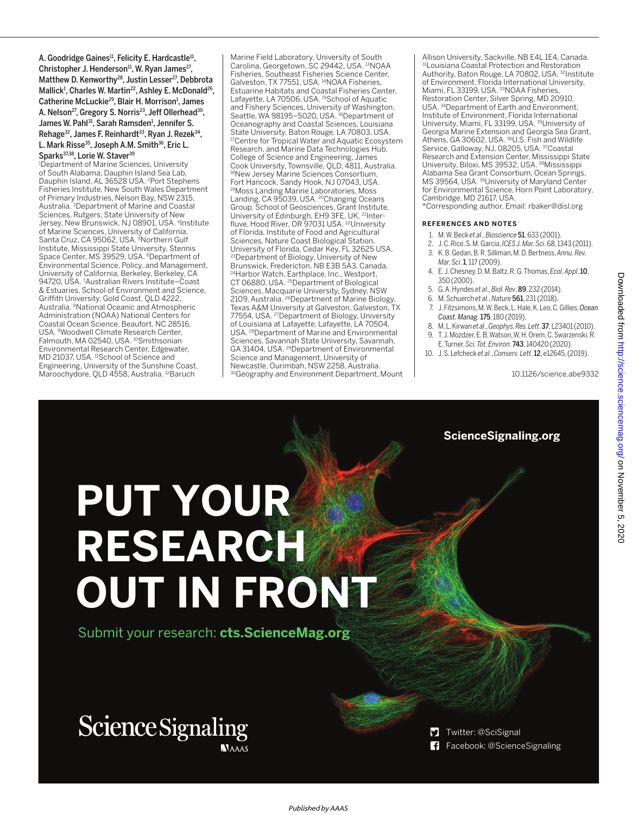A. Goodridge Gaines<sup>11</sup>, Felicity E. Hardcastle<sup>11</sup>, Christopher J. Henderson<sup>11</sup>, W. Ryan James<sup>27</sup>, Matthew D. Kenworthy 28 , Justin Lesser 27 , Debbrota Mallick<sup>1</sup>, Charles W. Martin<sup>22</sup>, Ashley E. McDonald<sup>26</sup>, Catherine McLuckie<sup>29</sup>, Blair H. Morrison<sup>1</sup>, James A. Nelson<sup>27</sup>, Gregory S. Norris<sup>23</sup>, Jeff Ollerhead<sup>30</sup>, James W. Pahl 31 , Sarah Ramsden 1 , Jennifer S. Rehage<sup>32</sup>, James F. Reinhardt<sup>33</sup>, Ryan J. Rezek<sup>34</sup>,

L. Mark Risse 35 , Joseph A.M. Smith <sup>36</sup>, Eric L. Sparks<sup>37,38</sup>, Lorie W. Staver<sup>39</sup>

<sup>1</sup>Department of Marine Sciences, University of South Alabama, Dauphin Island Sea Lab, Dauphin Island, AL 36528 USA. <sup>2</sup>Port Stephens Fisheries Institute, New South Wales Department of Primary Industries, Nelson Bay, NSW 2315, Australia. <sup>3</sup>Department of Marine and Coastal Sciences, Rutgers, State University of New Jersey, New Brunswick, NJ 08901, USA. <sup>4</sup> Institute of Marine Sciences, University of California, Santa Cruz, CA 95062, USA. <sup>5</sup>Northern Gulf Institute, Mississippi State University, Stennis Space Center, MS 39529, USA. <sup>6</sup>Department of Environmental Science, Policy, and Management, University of California, Berkeley, Berkeley, CA 94720, USA. <sup>7</sup>Australian Rivers Institute–Coast & Estuaries, School of Environment and Science, Griffith University, Gold Coast, QLD 4222, Australia. <sup>8</sup>National Oceanic and Atmospheric Administration (NOAA) National Centers for Coastal Ocean Science, Beaufort, NC 28516, USA. <sup>9</sup>Woodwell Climate Research Center, Falmouth, MA 02540, USA. <sup>10</sup>Smithsonian Environmental Research Center, Edgewater, MD 21037, USA. <sup>11</sup>School of Science and Engineering, University of the Sunshine Coast, Maroochydore, QLD 4558, Australia. <sup>12</sup>Baruch

Marine Field Laboratory, University of South Carolina, Georgetown, SC 29442, USA. <sup>13</sup>NOAA Fisheries, Southeast Fisheries Science Center, Galveston, TX 77551, USA. <sup>14</sup>NOAA Fisheries, Estuarine Habitats and Coastal Fisheries Center, Lafayette, LA 70506, USA. <sup>15</sup>School of Aquatic and Fishery Sciences, University of Washington, Seattle, WA 98195–5020, USA. <sup>16</sup>Department of Oceanography and Coastal Sciences, Louisiana State University, Baton Rouge, LA 70803, USA. <sup>17</sup>Centre for Tropical Water and Aquatic Ecosystem Research, and Marine Data Technologies Hub, College of Science and Engineering, James Cook University, Townsville, QLD, 4811, Australia. <sup>18</sup>New Jersey Marine Sciences Consortium, Fort Hancock, Sandy Hook, NJ 07043, USA. <sup>19</sup>Moss Landing Marine Laboratories, Moss Landing, CA 95039, USA. <sup>20</sup>Changing Oceans Group, School of Geosciences, Grant Institute,<br>University of Edinburgh, EH9 3FE, UK. <sup>21</sup>Interfluve, Hood River, OR 97031 USA. <sup>22</sup>University of Florida, Institute of Food and Agricultural Sciences, Nature Coast Biological Station, University of Florida, Cedar Key, FL 32625 USA. <sup>23</sup>Department of Biology, University of New Brunswick, Fredericton, NB E3B 5A3, Canada. <sup>24</sup>Harbor Watch, Earthplace, Inc., Westport, CT 06880, USA. <sup>25</sup>Department of Biological Sciences, Macquarie University, Sydney, NSW<br>2109, Australia. <sup>26</sup>Department of Marine Biology, Texas A&M University at Galveston, Galveston, TX 77554, USA. <sup>27</sup>Department of Biology, University of Louisiana at Lafayette, Lafayette, LA 70504, USA. <sup>28</sup>Department of Marine and Environmental Sciences, Savannah State University, Savannah, GA 31404, USA. <sup>29</sup>Department of Environmental Science and Management, University of Newcastle, Ourimbah, NSW 2258, Australia. 30Geography and Environment Department, Mount Allison University, Sackville, NB E4L 1E4, Canada. <sup>31</sup>Louisiana Coastal Protection and Restoration Authority, Baton Rouge, LA 70802, USA. <sup>32</sup>Institute of Environment, Florida International University, Miami, FL 33199, USA. <sup>33</sup>NOAA Fisheries, Restoration Center, Silver Spring, MD 20910, USA. <sup>34</sup>Department of Earth and Environment, Institute of Environment, Florida International University, Miami, FL 33199, USA. <sup>35</sup>University of Georgia Marine Extension and Georgia Sea Grant,<br>Athens, GA 30602, USA. <sup>36</sup>U.S. Fish and Wildlife Service, Galloway, NJ, 08205, USA. <sup>37</sup>Coastal Research and Extension Center, Mississippi State University, Biloxi, MS 39532, USA. <sup>38</sup>Mississippi Alabama Sea Grant Consortium, Ocean Springs, MS 39564, USA. <sup>39</sup>University of Maryland Center for Environmental Science, Horn Point Laboratory, Cambridge, MD 21617, USA.

\*Corresponding author. Email: rbaker@disl.org

#### **REFERENCES AND NOTES**

- 1. M. W. Beck *et al*., *Bioscience* 51,633 (2001).
- 2. J. C. Rice, S. M. Garcia, *ICESJ. Mar. Sci*. 68, 1343 (2011). 3. K. B. Gedan, B. R. Silliman, M. D. Bertness,*Annu. Rev.*
- *Mar. Sci*. 1, 117 (2009).
- 4. E. J. Chesney, D. M. Baltz, R. G. Thomas,*Ecol. Appl*. 10, 350 (2000).
- 5. G. A.Hyndes *et al*., *Biol. Rev*. 89, 232 (2014).
- 6. M. Schuerch *et al*., *Nature* 561, 231 (2018).
- 7. J. Fitzsimons, M.W. Beck, L. Hale, K. Leo,C.Gillies,*Ocean*
- *Coast. Manag.*175, 180 (2019). 8. M. L. Kirwan *et al*., *Geophys.Res. Lett*. 37,L23401 (2010).
- 
- 9. T. J. Mozdzer, E. B.Watson, W. H. Orem,C.Swarzenski,R. E. Turner, *Sci. Tot.Environ*. 743, 140420 (2020).
- 10. J. S. Lefcheck *et al*., *Conserv. Lett*. 12,e12645,(2019).

10.1126/science.abe9332

#### **ScienceSignaling.org**

# **PUT YOUR RESEARCH OUT IN FRONT**

Submit your research: **cts.ScienceMag.org**

### **Science Signaling NAAAS**

Twitter: @SciSignal

Facebook: @ScienceSignaling